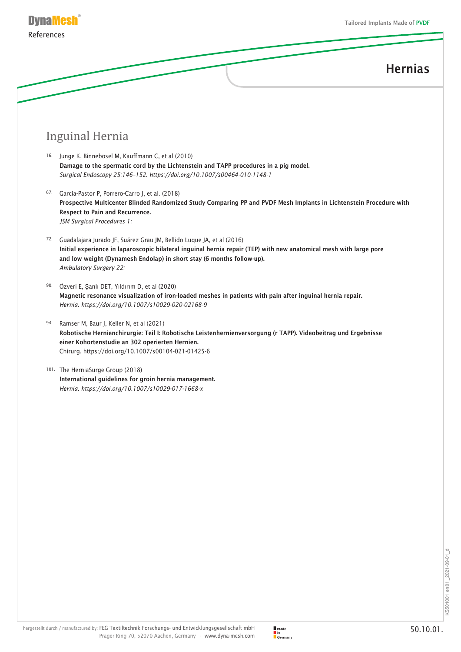

#### Inguinal Hernia

- 16. Junge K, Binnebösel M, Kauffmann C, et al (2010) Damage to the spermatic cord by the Lichtenstein and TAPP procedures in a pig model. *Surgical Endoscopy 25:146–152. https://doi.org/10.1007/s00464-010-1148-1*
- 67. Garcia-Pastor P, Porrero-Carro J, et al. (2018) Prospective Multicenter Blinded Randomized Study Comparing PP and PVDF Mesh Implants in Lichtenstein Procedure with Respect to Pain and Recurrence. *JSM Surgical Procedures 1:*
- 72. Guadalajara Jurado JF, Suárez Grau JM, Bellido Luque JA, et al (2016) Initial experience in laparoscopic bilateral inguinal hernia repair (TEP) with new anatomical mesh with large pore and low weight (Dynamesh Endolap) in short stay (6 months follow-up). *Ambulatory Surgery 22:*
- 90. Özveri E, Şanlı DET, Yıldırım D, et al (2020) Magnetic resonance visualization of iron-loaded meshes in patients with pain after inguinal hernia repair. *Hernia. https://doi.org/10.1007/s10029-020-02168-9*
- 94. Ramser M, Baur J, Keller N, et al (2021) Robotische Hernienchirurgie: Teil I: Robotische Leistenhernienversorgung (r TAPP). Videobeitrag und Ergebnisse einer Kohortenstudie an 302 operierten Hernien. Chirurg. https://doi.org/10.1007/s00104-021-01425-6
- 101. The HerniaSurge Group (2018) International guidelines for groin hernia management. *Hernia. https://doi.org/10.1007/s10029-017-1668-x*

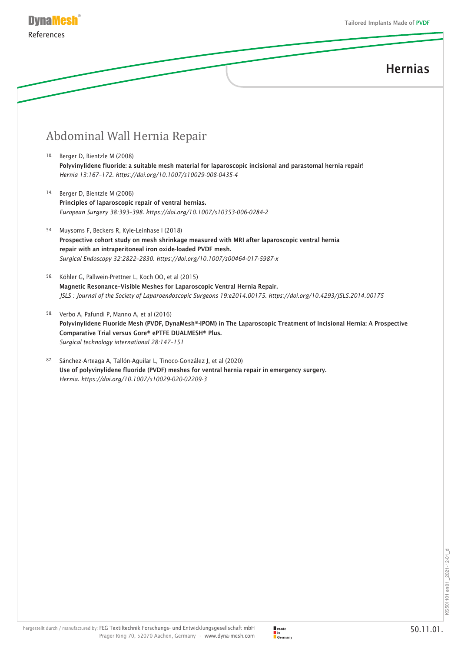

### Abdominal Wall Hernia Repair

- 10. Berger D, Bientzle M (2008) Polyvinylidene fluoride: a suitable mesh material for laparoscopic incisional and parastomal hernia repair! *Hernia 13:167–172. https://doi.org/10.1007/s10029-008-0435-4*
- 14. Berger D, Bientzle M (2006) Principles of laparoscopic repair of ventral hernias. *European Surgery 38:393–398. https://doi.org/10.1007/s10353-006-0284-2*
- 54. Muysoms F, Beckers R, Kyle-Leinhase I (2018) Prospective cohort study on mesh shrinkage measured with MRI after laparoscopic ventral hernia repair with an intraperitoneal iron oxide-loaded PVDF mesh. *Surgical Endoscopy 32:2822–2830. https://doi.org/10.1007/s00464-017-5987-x*
- 56. Köhler G, Pallwein-Prettner L, Koch OO, et al (2015) Magnetic Resonance–Visible Meshes for Laparoscopic Ventral Hernia Repair. *JSLS : Journal of the Society of Laparoendoscopic Surgeons 19:e2014.00175. https://doi.org/10.4293/JSLS.2014.00175*
- 58. Verbo A, Pafundi P, Manno A, et al (2016) Polyvinylidene Fluoride Mesh (PVDF, DynaMesh®-IPOM) in The Laparoscopic Treatment of Incisional Hernia: A Prospective Comparative Trial versus Gore® ePTFE DUALMESH® Plus. *Surgical technology international 28:147–151*
- 87. Sánchez-Arteaga A, Tallón-Aguilar L, Tinoco-González J, et al (2020) Use of polyvinylidene fluoride (PVDF) meshes for ventral hernia repair in emergency surgery. *Hernia. https://doi.org/10.1007/s10029-020-02209-3*

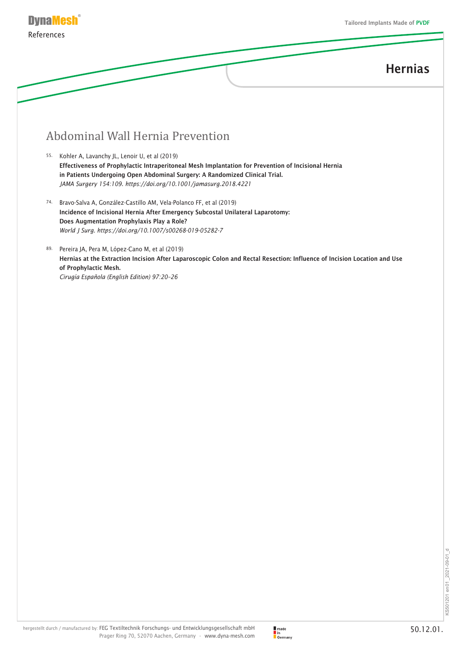

### Abdominal Wall Hernia Prevention

- 55. Kohler A, Lavanchy JL, Lenoir U, et al (2019) Effectiveness of Prophylactic Intraperitoneal Mesh Implantation for Prevention of Incisional Hernia in Patients Undergoing Open Abdominal Surgery: A Randomized Clinical Trial. *JAMA Surgery 154:109. https://doi.org/10.1001/jamasurg.2018.4221*
- 74. Bravo-Salva A, González-Castillo AM, Vela-Polanco FF, et al (2019) Incidence of Incisional Hernia After Emergency Subcostal Unilateral Laparotomy: Does Augmentation Prophylaxis Play a Role? *World J Surg. https://doi.org/10.1007/s00268-019-05282-7*
- 89. Pereira JA, Pera M, López-Cano M, et al (2019) Hernias at the Extraction Incision After Laparoscopic Colon and Rectal Resection: Influence of Incision Location and Use of Prophylactic Mesh. *Cirugía Española (English Edition) 97:20–26*

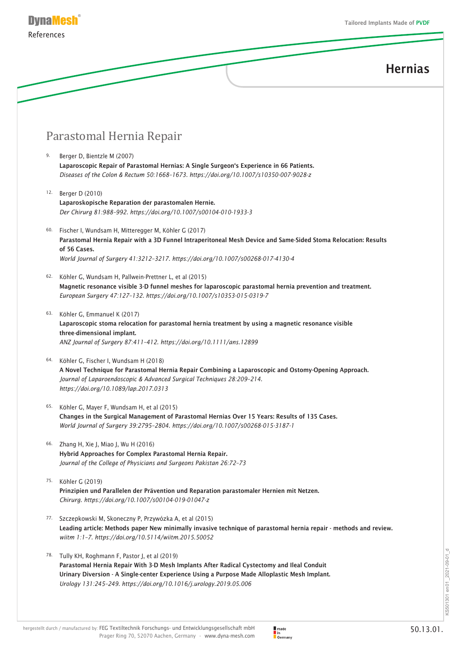

#### Parastomal Hernia Repair

- 9. Berger D, Bientzle M (2007) Laparoscopic Repair of Parastomal Hernias: A Single Surgeon's Experience in 66 Patients. *Diseases of the Colon & Rectum 50:1668–1673. https://doi.org/10.1007/s10350-007-9028-z*
- 12. Berger D (2010) Laparoskopische Reparation der parastomalen Hernie. *Der Chirurg 81:988–992. https://doi.org/10.1007/s00104-010-1933-3*
- 60. Fischer I, Wundsam H, Mitteregger M, Köhler G (2017) Parastomal Hernia Repair with a 3D Funnel Intraperitoneal Mesh Device and Same-Sided Stoma Relocation: Results of 56 Cases. *World Journal of Surgery 41:3212–3217. https://doi.org/10.1007/s00268-017-4130-4*
- 62. Köhler G, Wundsam H, Pallwein-Prettner L, et al (2015) Magnetic resonance visible 3-D funnel meshes for laparoscopic parastomal hernia prevention and treatment. *European Surgery 47:127–132. https://doi.org/10.1007/s10353-015-0319-7*
- 63. Köhler G, Emmanuel K (2017) Laparoscopic stoma relocation for parastomal hernia treatment by using a magnetic resonance visible three-dimensional implant. *ANZ Journal of Surgery 87:411–412. https://doi.org/10.1111/ans.12899*
- 64. Köhler G, Fischer I, Wundsam H (2018) A Novel Technique for Parastomal Hernia Repair Combining a Laparoscopic and Ostomy-Opening Approach. *Journal of Laparoendoscopic & Advanced Surgical Techniques 28:209–214. https://doi.org/10.1089/lap.2017.0313*
- 65. Köhler G, Mayer F, Wundsam H, et al (2015) Changes in the Surgical Management of Parastomal Hernias Over 15 Years: Results of 135 Cases. *World Journal of Surgery 39:2795–2804. https://doi.org/10.1007/s00268-015-3187-1*
- 66. Zhang H, Xie J, Miao J, Wu H (2016) Hybrid Approaches for Complex Parastomal Hernia Repair. *Journal of the College of Physicians and Surgeons Pakistan 26:72–73*
- 75. Köhler G (2019) Prinzipien und Parallelen der Prävention und Reparation parastomaler Hernien mit Netzen. *Chirurg. https://doi.org/10.1007/s00104-019-01047-z*
- 77. Szczepkowski M, Skoneczny P, Przywózka A, et al (2015) Leading article: Methods paper New minimally invasive technique of parastomal hernia repair - methods and review. *wiitm 1:1–7. https://doi.org/10.5114/wiitm.2015.50052*
- 78. Tully KH, Roghmann F, Pastor J, et al (2019) Parastomal Hernia Repair With 3-D Mesh Implants After Radical Cystectomy and Ileal Conduit Urinary Diversion - A Single-center Experience Using a Purpose Made Alloplastic Mesh Implant. *Urology 131:245–249. https://doi.org/10.1016/j.urology.2019.05.006*

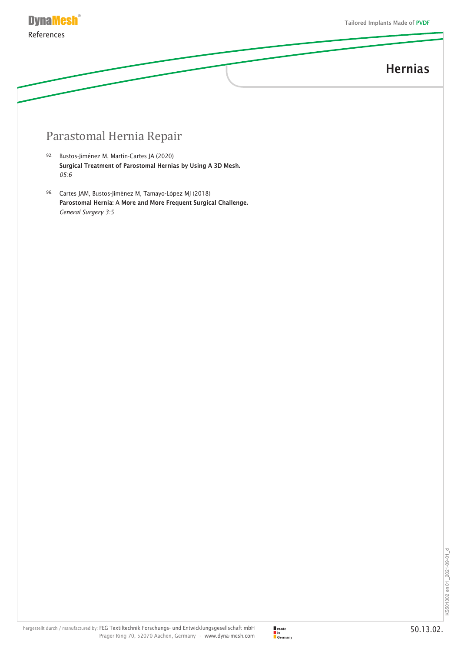

#### Parastomal Hernia Repair

- 92. Bustos-Jiménez M, Martín-Cartes JA (2020) Surgical Treatment of Parostomal Hernias by Using A 3D Mesh. *05:6*
- 96. Cartes JAM, Bustos-Jiménez M, Tamayo-López MJ (2018) Parostomal Hernia: A More and More Frequent Surgical Challenge. *General Surgery 3:5*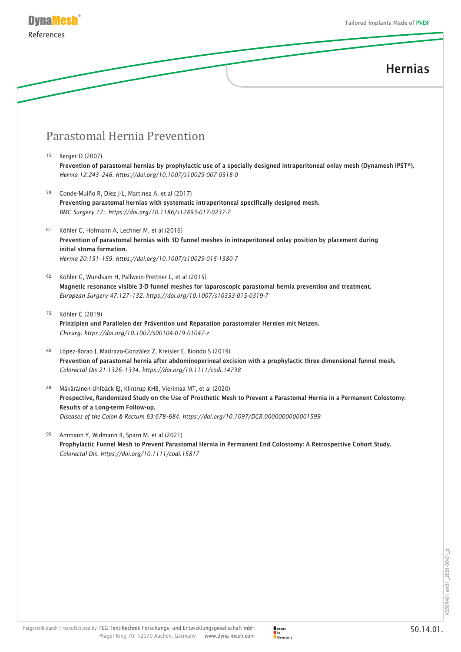

#### Parastomal Hernia Prevention

- 15. Berger D (2007) Prevention of parastomal hernias by prophylactic use of a specially designed intraperitoneal onlay mesh (Dynamesh IPST®). *Hernia 12:243–246. https://doi.org/10.1007/s10029-007-0318-0*
- 59. Conde-Muíño R, Díez J-L, Martínez A, et al (2017) Preventing parastomal hernias with systematic intraperitoneal specifically designed mesh. *BMC Surgery 17:. https://doi.org/10.1186/s12893-017-0237-7*
- 61. Köhler G, Hofmann A, Lechner M, et al (2016) Prevention of parastomal hernias with 3D funnel meshes in intraperitoneal onlay position by placement during initial stoma formation. *Hernia 20:151–159. https://doi.org/10.1007/s10029-015-1380-7*
- 62. Köhler G, Wundsam H, Pallwein-Prettner L, et al (2015) Magnetic resonance visible 3-D funnel meshes for laparoscopic parastomal hernia prevention and treatment. *European Surgery 47:127–132. https://doi.org/10.1007/s10353-015-0319-7*
- 75. Köhler G (2019) Prinzipien und Parallelen der Prävention und Reparation parastomaler Hernien mit Netzen. *Chirurg. https://doi.org/10.1007/s00104-019-01047-z*
- 80. López-Borao J, Madrazo-González Z, Kreisler E, Biondo S (2019) Prevention of parastomal hernia after abdominoperineal excision with a prophylactic three-dimensional funnel mesh. *Colorectal Dis 21:1326–1334. https://doi.org/10.1111/codi.14738*
- 88. Mäkäräinen-Uhlbäck EJ, Klintrup KHB, Vierimaa MT, et al (2020) Prospective, Randomized Study on the Use of Prosthetic Mesh to Prevent a Parastomal Hernia in a Permanent Colostomy: Results of a Long-term Follow-up. *Diseases of the Colon & Rectum 63:678–684. https://doi.org/10.1097/DCR.0000000000001599*
- 95. Ammann Y, Widmann B, Sparn M, et al (2021) Prophylactic Funnel Mesh to Prevent Parastomal Hernia in Permanent End Colostomy: A Retrospective Cohort Study. *Colorectal Dis. https://doi.org/10.1111/codi.15817*